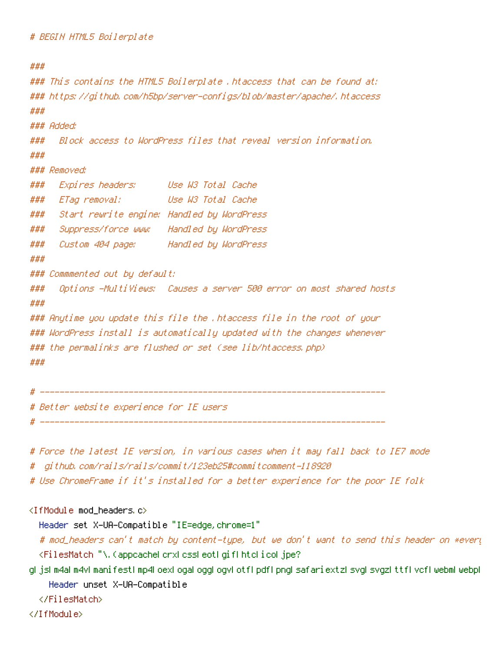```
###
### This contains the HTML5 Boilerplate .htaccess that can be found at:
### https://github.com/h5bp/server-configs/blob/master/apache/.htaccess
###
### Added:
### Block access to WordPress files that reveal version information.
###
### Removed:
### Expires headers: Use W3 Total Cache
### ETag removal: Use W3 Total Cache
### Start rewrite engine: Handled by WordPress
### Suppress/force www: Handled by WordPress
### Custom 404 page: Handled by WordPress
###
### Commmented out by default:
### Options -MultiViews: Causes a server 500 error on most shared hosts
###
### Anytime you update this file the .htaccess file in the root of your
### WordPress install is automatically updated with the changes whenever
### the permalinks are flushed or set (see lib/htaccess.php)
###
# ----------------------------------------------------------------------
```
# Better website experience for IE users

# ----------------------------------------------------------------------

- # Force the latest IE version, in various cases when it may fall back to IE7 mode
- # github.com/rails/rails/commit/123eb25#commitcomment-118920
- # Use ChromeFrame if it's installed for <sup>a</sup> better experience for the poor IE folk

### <IfModule mod\_headers.c>

Header set X-UA-Compatible "IE=edge,chrome=1"

# mod\_headers can't match by content-type, but we don't want to send this header on \*every <FilesMatch "\.(appcache|crx|css|eot|gif|htc|ico|jpe?

g| js| m4a| m4v| manifest| mp4| oex| oga| ogg| ogv| otf| pdf|png| safariextz| svg| svgz| ttf| vcf| webm| webp| Header unset X-UA-Compatible

</FilesMatch>

</IfModule>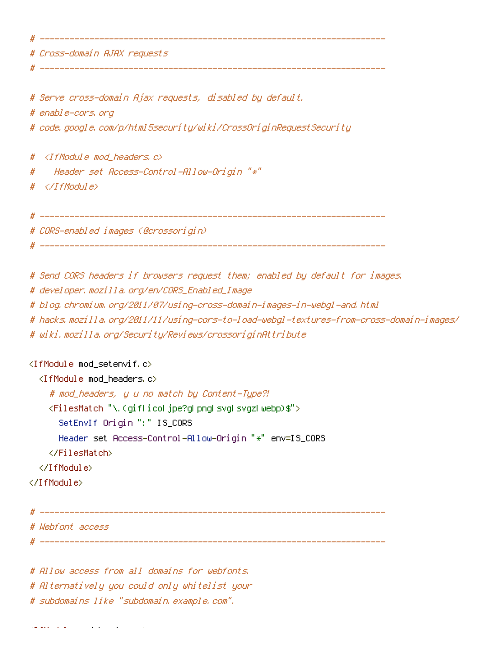|   | # Cross-domain AJAX requests                                                            |
|---|-----------------------------------------------------------------------------------------|
|   | # Serve cross-domain Ajax requests, disabled by default.                                |
|   | # enable-cors, org                                                                      |
|   | # code, google, com/p/html5security/wiki/CrossOriginRequestSecurity                     |
| # | ≺IfModule mod_headers,c>                                                                |
| # | Header set Access-Control-Allow-Origin "*"                                              |
| # |                                                                                         |
|   | # CORS-enabled images (@crossorigin)                                                    |
|   | # Send CORS headers if browsers request them; enabled by default for images,            |
|   | # developer.mozilla.org/en/CORS_Enabled_Image                                           |
|   | # blog.chromium.org/2011/07/using-cross-domain-images-in-webgl-and.html                 |
|   | # hacks.mozilla.org/2011/11/using-cors-to-load-webgl-textures-from-cross-domain-images/ |
|   | # wiki.mozilla.org/Security/Reviews/crossoriginAttribute                                |
|   | <ifmodule mod_setenvif.c=""></ifmodule>                                                 |

```
<IfModule mod_headers.c>
```

```
# mod_headers, y u no match by Content-Type?!
```

```
<FilesMatch "\.(gif|ico|jpe?g|png|svg|svgz|webp)$">
```

```
SetEnvIf Origin ":" IS_CORS
```

```
Header set Access-Control-Allow-Origin "*" env=IS_CORS
```

```
</FilesMatch>
```

```
</IfModule>
```

```
</IfModule>
```

```
# ----------------------------------------------------------------------
# Webfont access
# ----------------------------------------------------------------------
```
# Allow access from all domains for webfonts. # Alternatively you could only whitelist your # subdomains like "subdomain.example.com".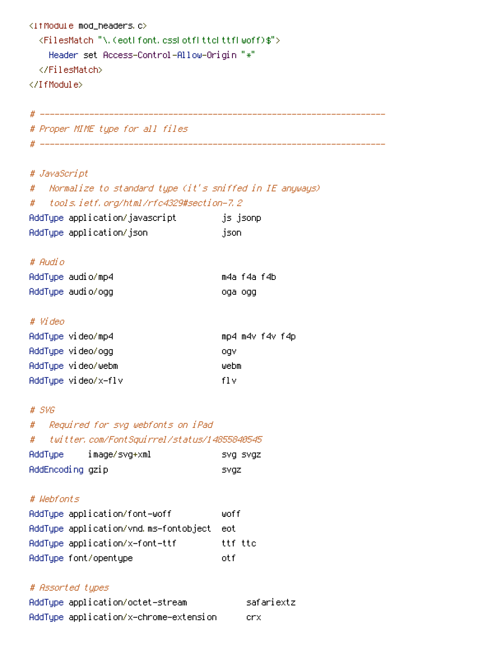```
<IfModule mod_headers.c>
  <FilesMatch "\.(eot|font.css|otf|ttc|ttf|woff)$">
   Header set Access-Control-Allow-Origin "*"
  </FilesMatch>
</IfModule>
```
# ---------------------------------------------------------------------- # Proper MIME type for all files

# ----------------------------------------------------------------------

# # JavaScript

| # Mormalize to standard type (it's sniffed in IE anyways) |          |
|-----------------------------------------------------------|----------|
| # tools.ietf.org/html/rfc4329#section-7.2                 |          |
| AddTupe application/javascript                            | js jsonp |
| AddType application/json                                  | json.    |

### # Audio

| AddType audio/mp4 | m4a f4a f4b |  |
|-------------------|-------------|--|
| AddTupe audio/ogg | oga ogg     |  |

### # Video

| AddTupe video/mp4   | mp4 m4v f4v f4p |  |
|---------------------|-----------------|--|
| AddType video/ogg   | oav             |  |
| AddType video/webm  | webm            |  |
| AddTupe video/x-flv | fl v            |  |

### # SVG

# # Required for svg webfonts on iPad

# # twitter.com/FontSquirrel/status/14855840545

| <b>AddTupe</b>   | image/svg+xml | isvg svgz |
|------------------|---------------|-----------|
| AddEncoding gzip |               | svaz      |

# # Webfonts

| AddType application/font-woff         | wof f   |
|---------------------------------------|---------|
| AddTupe application/vnd.ms-fontobject | eot     |
| AddTupe application/x-font-ttf        | ttf ttc |
| AddType font/opentype                 | nt f    |

## # Assorted types

| AddType application/octet-stream       | safariextz |
|----------------------------------------|------------|
| AddType application/x-chrome-extension | lenx.      |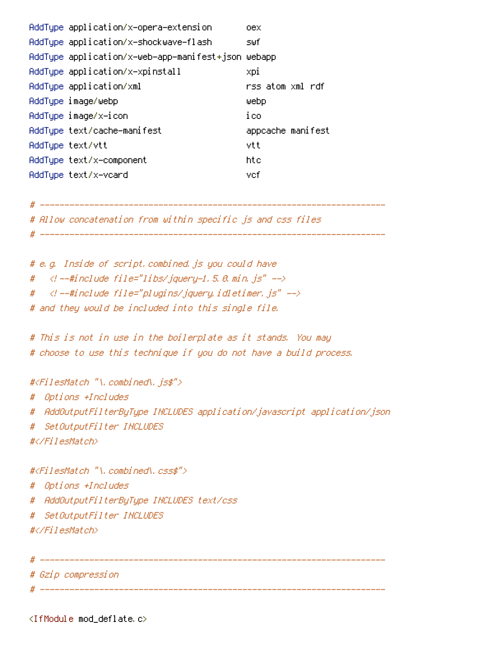| AddType application/x-opera-extension | оех                                                                                                                                                                                                                                                                                                            |
|---------------------------------------|----------------------------------------------------------------------------------------------------------------------------------------------------------------------------------------------------------------------------------------------------------------------------------------------------------------|
|                                       | swf.                                                                                                                                                                                                                                                                                                           |
|                                       |                                                                                                                                                                                                                                                                                                                |
|                                       | xpi                                                                                                                                                                                                                                                                                                            |
|                                       | rss atom xml rdf                                                                                                                                                                                                                                                                                               |
|                                       | ⊎ebp                                                                                                                                                                                                                                                                                                           |
|                                       | ico                                                                                                                                                                                                                                                                                                            |
|                                       | appcache manifest                                                                                                                                                                                                                                                                                              |
|                                       | vtt                                                                                                                                                                                                                                                                                                            |
|                                       | htc                                                                                                                                                                                                                                                                                                            |
|                                       | vcf                                                                                                                                                                                                                                                                                                            |
|                                       | AddType application/x-shockwave-flash<br>AddType application/x-web-app-manifest+json webapp<br>AddType application/x-xpinstall<br>AddType application/xml<br>AddType image/webp<br>AddType image/x-icon<br>AddType text/cache-manifest<br>AddTupe text/vtt<br>AddType text/x-component<br>AddTupe text/x-vcard |

# ----------------------------------------------------------------------

# Allow concatenation from within specific js and css files

```
# ----------------------------------------------------------------------
```
# e.g. Inside of script.combined.js you could have #  $\langle$  --#include file="libs/jquery-1.5.0.min.js" -->

- # <!--#include file="plugins/jquery.idletimer.js" -->
- # and they would be included into this single file.

# This is not in use in the boilerplate as it stands. You may # choose to use this technique if you do not have <sup>a</sup> build process.

#<FilesMatch "\.combined\.js\$"> # Options +Includes # AddOutputFilterByType INCLUDES application/javascript application/json # SetOutputFilter INCLUDES #</FilesMatch> #<FilesMatch "\.combined\.css\$"> # Options +Includes

- # AddOutputFilterByType INCLUDES text/css
- # SetOutputFilter INCLUDES

#</FilesMatch>

```
# ----------------------------------------------------------------------
```

```
# Gzip compression
```
# ----------------------------------------------------------------------

<IfModule mod\_deflate.c>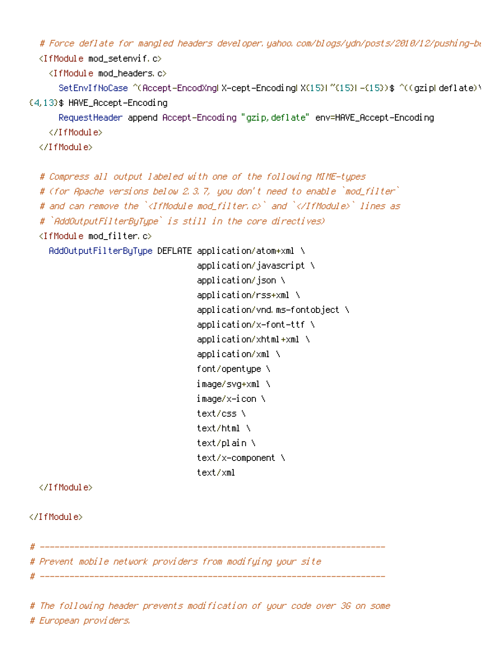# Force deflate for mangled headers developer.yahoo.com/blogs/ydn/posts/2010/12/pushing-be

<IfModule mod\_setenvif.c>

<IfModule mod\_headers.c>

SetEnvIfNoCase ^(Accept-EncodXng|X-cept-Encoding|X{15}|~{15}|-{15})\$ ^((gzip|deflate)\

{4,13}\$ HAVE\_Accept-Encoding

RequestHeader append Accept-Encoding "gzip,deflate" env=HAVE\_Accept-Encoding

</IfModule>

</IfModule>

```
# Compress all output labeled with one of the following MIME-types
```
# (for Apache versions below 2.3.7, you don't need to enable `mod\_filter`

# and can remove the `<IfModule mod filter.c>` and `</IfModule>` lines as

```
# `AddOutputFilterByType` is still in the core directives)
```
<IfModule mod\_filter.c>

AddOutputFilterByType DEFLATE application/atom+xml \

```
application/javascript \
application/json \
application/rss+xml \
application/vnd.ms-fontobject \
application/x-font-ttf \
application/xhtml+xml \
application/xml \
font/opentype \
image/svg+xml \
image/x-icon \
text/css \
text/html \
text/plain \
text/x-component \
text/xml
```
</IfModule>

</IfModule>

# ---------------------------------------------------------------------- # Prevent mobile network providers from modifying your site

# ----------------------------------------------------------------------

# The following header prevents modification of your code over 3G on some # European providers.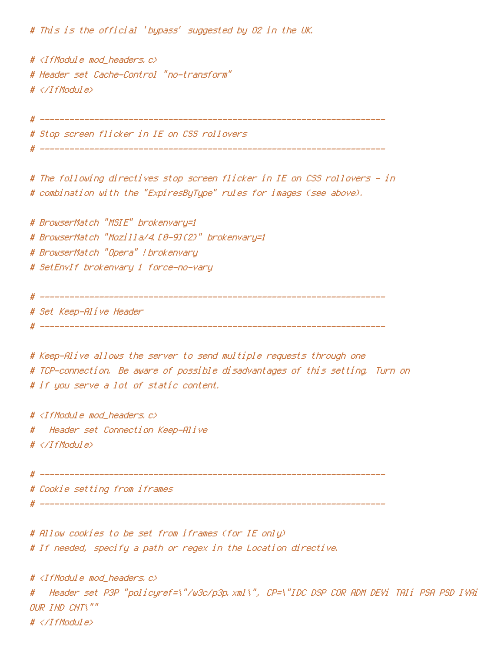# This is the official 'bypass' suggested by O2 in the UK.

```
# <IfModule mod_headers.c>
# Header set Cache-Control "no-transform"
# </IfModule>
```
# ---------------------------------------------------------------------- # Stop screen flicker in IE on CSS rollovers # ----------------------------------------------------------------------

# The following directives stop screen flicker in IE on CSS rollovers - in # combination with the "ExpiresByType" rules for images (see above).

# BrowserMatch "MSIE" brokenvary=1 # BrowserMatch "Mozilla/4.[0-9]{2}" brokenvary=1 # BrowserMatch "Opera" !brokenvary

# SetEnvIf brokenvary 1 force-no-vary

# ----------------------------------------------------------------------

# Set Keep-Alive Header

# ----------------------------------------------------------------------

# Keep-Alive allows the server to send multiple requests through one # TCP-connection. Be aware of possible disadvantages of this setting. Turn on # if you serve <sup>a</sup> lot of static content.

# <IfModule mod\_headers.c> # Header set Connection Keep-Alive # </IfModule>

# ----------------------------------------------------------------------

# Cookie setting from iframes

# ----------------------------------------------------------------------

# Allow cookies to be set from iframes (for IE only) # If needed, specify <sup>a</sup> path or regex in the Location directive.

# <IfModule mod\_headers.c> # Header set P3P "policyref=\"/w3c/p3p.xml\", CP=\"IDC DSP COR ADM DEVi TAIi PSA PSD IVAi IVDi CONi HIS OUR IND CNT\"" # </IfModule>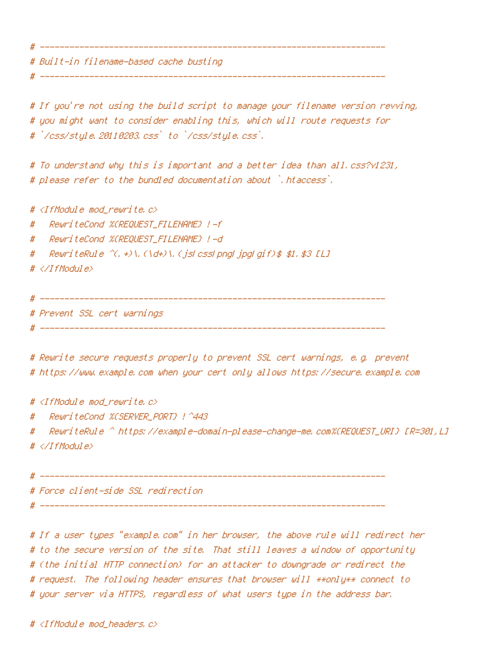# Built-in filename-based cache busting

# If you're not using the build script to manage your filename version revving, # you might want to consider enabling this, which will route requests for # `/css/style.20110203.css` to `/css/style.css`.

# ----------------------------------------------------------------------

# To understand why this is important and <sup>a</sup> better idea than all.css?v1231, # please refer to the bundled documentation about `.htaccess`.

# ----------------------------------------------------------------------

#  $\triangleleft$  fModule mod rewrite.c>

# RewriteCond %{REQUEST\_FILENAME} !-f

# RewriteCond %{REQUEST\_FILENAME} !-d

# RewriteRule  $\hat{C}$ . +)\.(\d+)\.(jsLcssLpngLjpgLgif)\$ \$1.\$3 [L]

```
# </IfModule>
```
# ----------------------------------------------------------------------

# Prevent SSL cert warnings

# ----------------------------------------------------------------------

# Rewrite secure requests properly to prevent SSL cert warnings, e.g. prevent # https://www.example.com when your cert only allows https://secure.example.com

#  $\triangleleft$ IfModule mod rewrite.c $\triangleright$ 

# RewriteCond %{SERVER\_PORT} !^443

# RewriteRule ^ https://example-domain-please-change-me.com%{REQUEST\_URI} [R=301,L] # </IfModule>

# ----------------------------------------------------------------------

# Force client-side SSL redirection

# ----------------------------------------------------------------------

# If <sup>a</sup> user types "example.com" in her browser, the above rule will redirect her # to the secure version of the site. That still leaves <sup>a</sup> window of opportunity # (the initial HTTP connection) for an attacker to downgrade or redirect the # request. The following header ensures that browser will \*\*only\*\* connect to # your server via HTTPS, regardless of what users type in the address bar.

# <IfModule mod\_headers.c>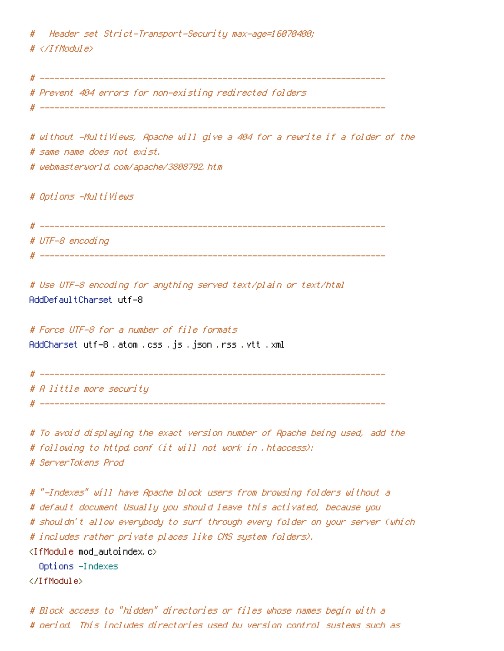# Header set Strict-Transport-Security max-age=16070400; # </IfModule>

# ---------------------------------------------------------------------- # Prevent 404 errors for non-existing redirected folders

# ----------------------------------------------------------------------

# without -MultiViews, Apache will give <sup>a</sup> 404 for <sup>a</sup> rewrite if <sup>a</sup> folder of the # same name does not exist. # webmasterworld.com/apache/3808792.htm

# Options -MultiViews

# ---------------------------------------------------------------------- # UTF-8 encoding # ----------------------------------------------------------------------

# Use UTF-8 encoding for anything served text/plain or text/html AddDefaultCharset utf-8

# Force UTF-8 for <sup>a</sup> number of file formats AddCharset utf-8 .atom .css .js .json .rss .vtt .xml

# ---------------------------------------------------------------------- # A little more security # ----------------------------------------------------------------------

# To avoid displaying the exact version number of Apache being used, add the # following to httpd.conf (it will not work in .htaccess): # ServerTokens Prod

# "-Indexes" will have Apache block users from browsing folders without <sup>a</sup> # default document Usually you should leave this activated, because you # shouldn't allow everybody to surf through every folder on your server (which # includes rather private places like CMS system folders). <IfModule mod\_autoindex.c>

Options -Indexes

</IfModule>

# Block access to "hidden" directories or files whose names begin with <sup>a</sup> # period. This includes directories used by version control systems such as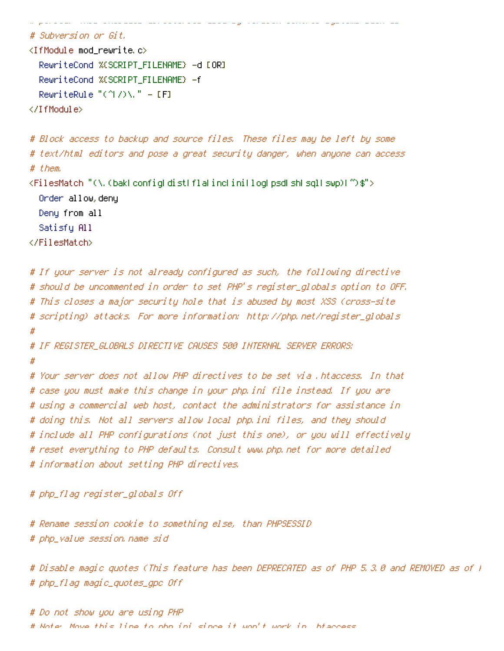```
# Subversion or Git.
<IfModule mod_rewrite.c>
  RewriteCond %{SCRIPT_FILENAME} -d [OR]
  RewriteCond %{SCRIPT_FILENAME} -f
  RewriteRule "(^\circ\uparrow/\rangle\setminus." - [F]
</IfModule>
```
# Block access to backup and source files. These files may be left by some # text/html editors and pose <sup>a</sup> great security danger, when anyone can access # them. <FilesMatch "(\.(bak|config|dist|fla|inc|ini|log|psd|sh|sql|swp)|~)\$"> Order allow,deny Deny from all Satisfy All </FilesMatch>

# period. This includes directories used by version control systems such as

```
# If your server is not already configured as such, the following directive
# should be uncommented in order to set PHP's register_globals option to OFF.
# This closes a major security hole that is abused by most XSS (cross-site
# scripting) attacks. For more information: http://php.net/register_globals
#
# IF REGISTER_GLOBALS DIRECTIVE CAUSES 500 INTERNAL SERVER ERRORS:
#
# Your server does not allow PHP directives to be set via .htaccess. In that
# case you must make this change in your php.ini file instead. If you are
# using a commercial web host, contact the administrators for assistance in
# doing this. Not all servers allow local php.ini files, and they should
# include all PHP configurations (not just this one), or you will effectively
# reset everything to PHP defaults. Consult www.php.net for more detailed
# information about setting PHP directives.
```
# php\_flag register\_globals Off

# Rename session cookie to something else, than PHPSESSID # php\_value session.name sid

# Disable magic quotes (This feature has been DEPRECATED as of PHP 5.3.0 and REMOVED as of PHP 5.4.0.) # php\_flag magic\_quotes\_gpc Off

# Do not show you are using PHP # Note: Move this line to php.ini since it won't work in .htaccess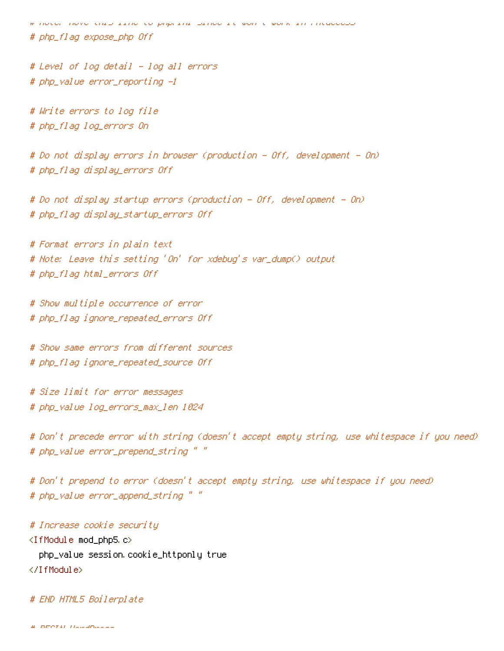# Note: Move this line to php.ini since it won't work in .htaccess # php\_flag expose\_php Off

# Level of log detail - log all errors # php\_value error\_reporting -1

# Write errors to log file # php\_flag log\_errors On

# Do not display errors in browser (production - Off, development - On) # php\_flag display\_errors Off

# Do not display startup errors (production - Off, development - On) # php\_flag display\_startup\_errors Off

# Format errors in plain text # Note: Leave this setting 'On' for xdebug's var\_dump() output # php\_flag html\_errors Off

# Show multiple occurrence of error # php\_flag ignore\_repeated\_errors Off

# Show same errors from different sources # php\_flag ignore\_repeated\_source Off

# Size limit for error messages # php\_value log\_errors\_max\_len 1024

# Don't precede error with string (doesn't accept empty string, use whitespace if you need) # php\_value error\_prepend\_string " "

# Don't prepend to error (doesn't accept empty string, use whitespace if you need) # php\_value error\_append\_string " "

# Increase cookie security <IfModule mod\_php5.c> php\_value session.cookie\_httponly true </IfModule>

# END HTML5 Boilerplate